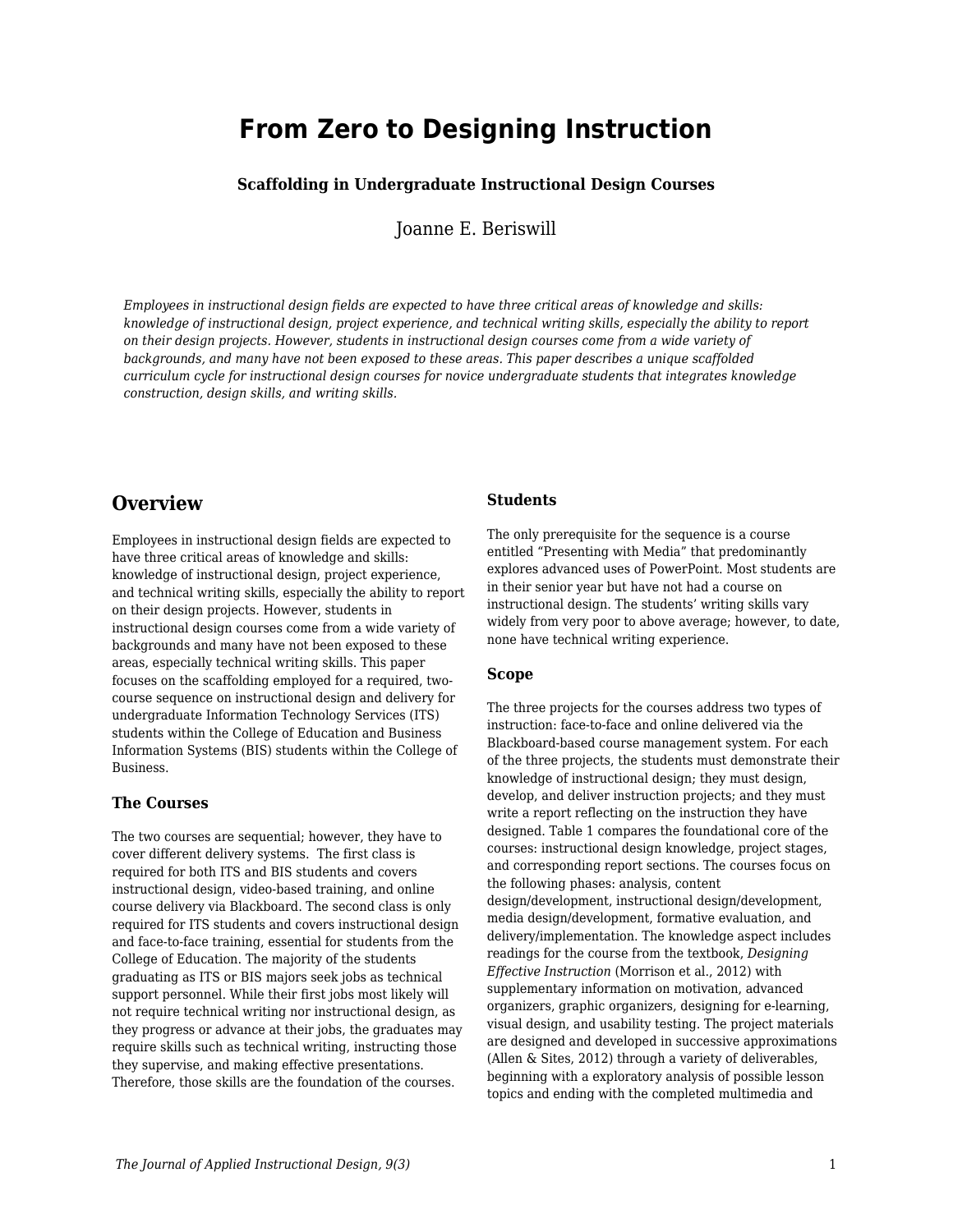# **From Zero to Designing Instruction**

### **Scaffolding in Undergraduate Instructional Design Courses**

Joanne E. Beriswill

*Employees in instructional design fields are expected to have three critical areas of knowledge and skills: knowledge of instructional design, project experience, and technical writing skills, especially the ability to report on their design projects. However, students in instructional design courses come from a wide variety of backgrounds, and many have not been exposed to these areas. This paper describes a unique scaffolded curriculum cycle for instructional design courses for novice undergraduate students that integrates knowledge construction, design skills, and writing skills.*

## **Overview**

Employees in instructional design fields are expected to have three critical areas of knowledge and skills: knowledge of instructional design, project experience, and technical writing skills, especially the ability to report on their design projects. However, students in instructional design courses come from a wide variety of backgrounds and many have not been exposed to these areas, especially technical writing skills. This paper focuses on the scaffolding employed for a required, twocourse sequence on instructional design and delivery for undergraduate Information Technology Services (ITS) students within the College of Education and Business Information Systems (BIS) students within the College of Business.

### **The Courses**

The two courses are sequential; however, they have to cover different delivery systems. The first class is required for both ITS and BIS students and covers instructional design, video-based training, and online course delivery via Blackboard. The second class is only required for ITS students and covers instructional design and face-to-face training, essential for students from the College of Education. The majority of the students graduating as ITS or BIS majors seek jobs as technical support personnel. While their first jobs most likely will not require technical writing nor instructional design, as they progress or advance at their jobs, the graduates may require skills such as technical writing, instructing those they supervise, and making effective presentations. Therefore, those skills are the foundation of the courses.

### **Students**

The only prerequisite for the sequence is a course entitled "Presenting with Media" that predominantly explores advanced uses of PowerPoint. Most students are in their senior year but have not had a course on instructional design. The students' writing skills vary widely from very poor to above average; however, to date, none have technical writing experience.

### **Scope**

The three projects for the courses address two types of instruction: face-to-face and online delivered via the Blackboard-based course management system. For each of the three projects, the students must demonstrate their knowledge of instructional design; they must design, develop, and deliver instruction projects; and they must write a report reflecting on the instruction they have designed. Table 1 compares the foundational core of the courses: instructional design knowledge, project stages, and corresponding report sections. The courses focus on the following phases: analysis, content design/development, instructional design/development, media design/development, formative evaluation, and delivery/implementation. The knowledge aspect includes readings for the course from the textbook, *Designing Effective Instruction* (Morrison et al., 2012) with supplementary information on motivation, advanced organizers, graphic organizers, designing for e-learning, visual design, and usability testing. The project materials are designed and developed in successive approximations (Allen & Sites, 2012) through a variety of deliverables, beginning with a exploratory analysis of possible lesson topics and ending with the completed multimedia and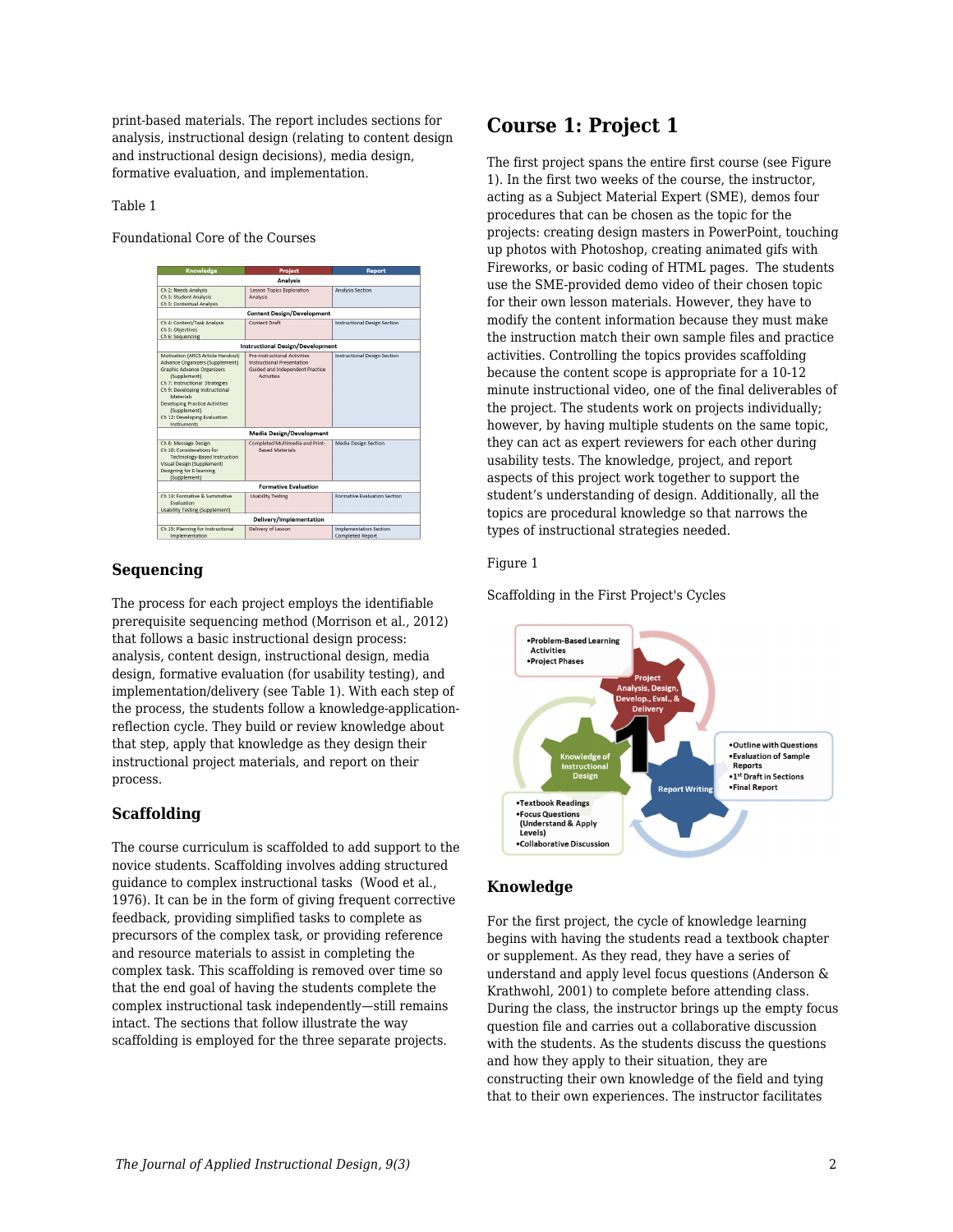print-based materials. The report includes sections for analysis, instructional design (relating to content design and instructional design decisions), media design, formative evaluation, and implementation.

#### Table 1

Foundational Core of the Courses

| <b>Knowledge</b>                                                                                                                                                                                                                                                                                                   | Project                                                                                                     | Report                                            |
|--------------------------------------------------------------------------------------------------------------------------------------------------------------------------------------------------------------------------------------------------------------------------------------------------------------------|-------------------------------------------------------------------------------------------------------------|---------------------------------------------------|
| <b>Analysis</b>                                                                                                                                                                                                                                                                                                    |                                                                                                             |                                                   |
| Ch 2: Needs Analysis<br>Ch 3: Student Analysis<br>Ch 3: Contextual Analysis                                                                                                                                                                                                                                        | <b>Lesson Topics Exploration</b><br>Analysis                                                                | Analysis Section                                  |
| <b>Content Design/Development</b>                                                                                                                                                                                                                                                                                  |                                                                                                             |                                                   |
| Ch 4: Content/Task Analysis<br>Ch 5: Objectives<br>Ch 6: Sequencing                                                                                                                                                                                                                                                | <b>Content Draft</b>                                                                                        | <b>Instructional Design Section</b>               |
| <b>Instructional Design/Development</b>                                                                                                                                                                                                                                                                            |                                                                                                             |                                                   |
| Motivation (ARCS Article Handout)<br>Advance Organizers (Supplement)<br><b>Graphic Advance Organizers</b><br>(Supplement)<br>Ch 7: Instructional Strategies<br>Ch 9: Developing Instructional<br>Materials<br><b>Developing Practice Activities</b><br>(Supplement)<br>Ch 12: Developing Evaluation<br>Instruments | Pre-Instructional Activities<br>Instructional Presentation<br>Guided and Independent Practice<br>Activities | <b>Instructional Design Section</b>               |
| <b>Media Design/Development</b>                                                                                                                                                                                                                                                                                    |                                                                                                             |                                                   |
| Ch 8: Message Design<br>Ch 10: Considerations for<br>Technology-Based Instruction<br>Visual Design (Supplement)<br>Designing for E-learning<br>(Supplement)                                                                                                                                                        | Completed Multimedia and Print-<br><b>Rased Materials</b>                                                   | Media Design Section                              |
| <b>Formative Evaluation</b>                                                                                                                                                                                                                                                                                        |                                                                                                             |                                                   |
| Ch 13: Formative & Summative<br>Evaluation<br><b>Usability Testing (Supplement)</b>                                                                                                                                                                                                                                | <b>Usability Testing</b>                                                                                    | Formative Evaluation Section                      |
| Delivery/Implementation                                                                                                                                                                                                                                                                                            |                                                                                                             |                                                   |
| Ch 15: Planning for Instructional<br>Implementation                                                                                                                                                                                                                                                                | Delivery of Lesson                                                                                          | <b>Implementation Section</b><br>Completed Report |

### **Sequencing**

The process for each project employs the identifiable prerequisite sequencing method (Morrison et al., 2012) that follows a basic instructional design process: analysis, content design, instructional design, media design, formative evaluation (for usability testing), and implementation/delivery (see Table 1). With each step of the process, the students follow a knowledge-applicationreflection cycle. They build or review knowledge about that step, apply that knowledge as they design their instructional project materials, and report on their process.

### **Scaffolding**

The course curriculum is scaffolded to add support to the novice students. Scaffolding involves adding structured guidance to complex instructional tasks (Wood et al., 1976). It can be in the form of giving frequent corrective feedback, providing simplified tasks to complete as precursors of the complex task, or providing reference and resource materials to assist in completing the complex task. This scaffolding is removed over time so that the end goal of having the students complete the complex instructional task independently—still remains intact. The sections that follow illustrate the way scaffolding is employed for the three separate projects.

# **Course 1: Project 1**

The first project spans the entire first course (see Figure 1). In the first two weeks of the course, the instructor, acting as a Subject Material Expert (SME), demos four procedures that can be chosen as the topic for the projects: creating design masters in PowerPoint, touching up photos with Photoshop, creating animated gifs with Fireworks, or basic coding of HTML pages. The students use the SME-provided demo video of their chosen topic for their own lesson materials. However, they have to modify the content information because they must make the instruction match their own sample files and practice activities. Controlling the topics provides scaffolding because the content scope is appropriate for a 10-12 minute instructional video, one of the final deliverables of the project. The students work on projects individually; however, by having multiple students on the same topic, they can act as expert reviewers for each other during usability tests. The knowledge, project, and report aspects of this project work together to support the student's understanding of design. Additionally, all the topics are procedural knowledge so that narrows the types of instructional strategies needed.

### Figure 1

Scaffolding in the First Project's Cycles



### **Knowledge**

For the first project, the cycle of knowledge learning begins with having the students read a textbook chapter or supplement. As they read, they have a series of understand and apply level focus questions (Anderson & Krathwohl, 2001) to complete before attending class. During the class, the instructor brings up the empty focus question file and carries out a collaborative discussion with the students. As the students discuss the questions and how they apply to their situation, they are constructing their own knowledge of the field and tying that to their own experiences. The instructor facilitates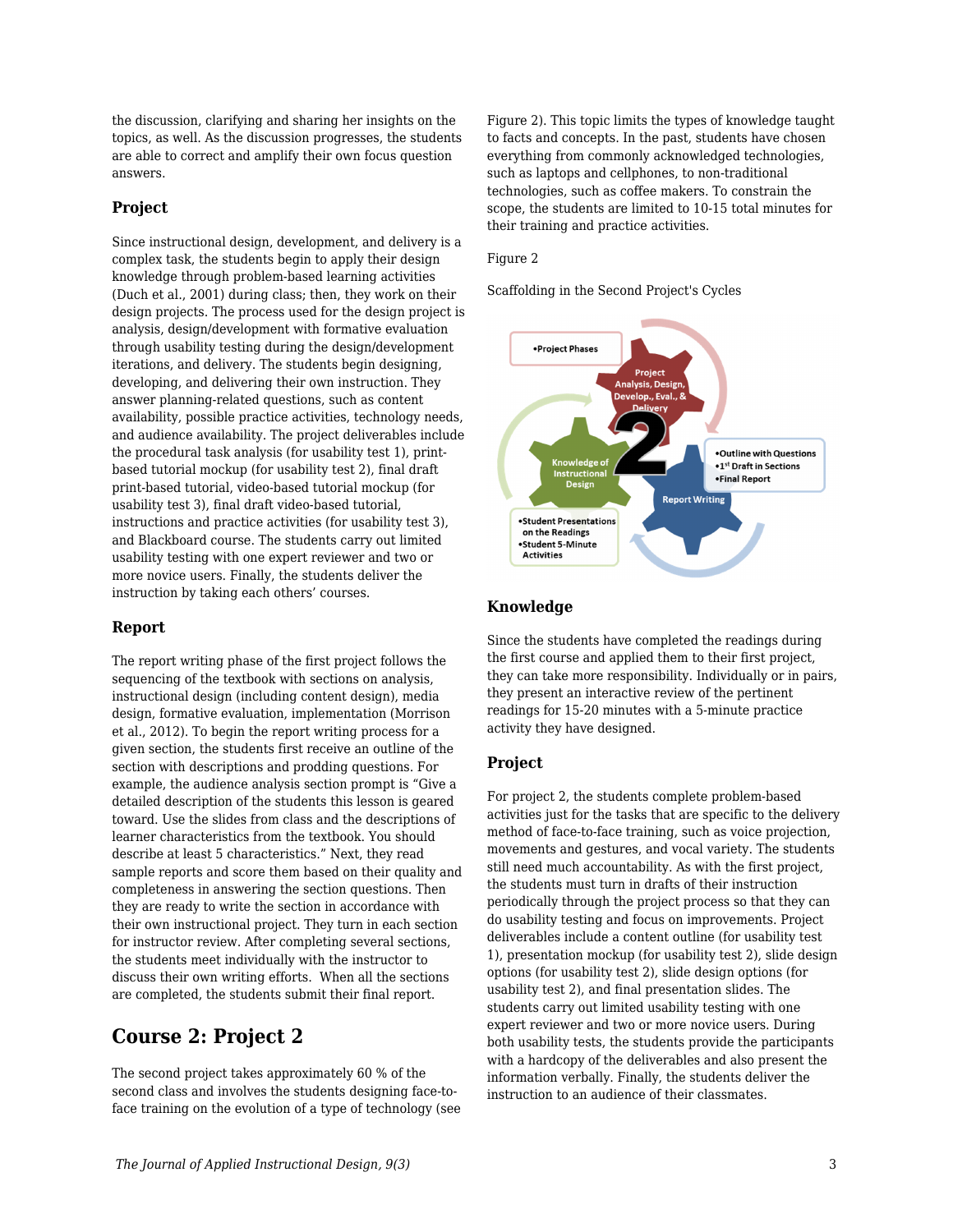the discussion, clarifying and sharing her insights on the topics, as well. As the discussion progresses, the students are able to correct and amplify their own focus question answers.

### **Project**

Since instructional design, development, and delivery is a complex task, the students begin to apply their design knowledge through problem-based learning activities (Duch et al., 2001) during class; then, they work on their design projects. The process used for the design project is analysis, design/development with formative evaluation through usability testing during the design/development iterations, and delivery. The students begin designing, developing, and delivering their own instruction. They answer planning-related questions, such as content availability, possible practice activities, technology needs, and audience availability. The project deliverables include the procedural task analysis (for usability test 1), printbased tutorial mockup (for usability test 2), final draft print-based tutorial, video-based tutorial mockup (for usability test 3), final draft video-based tutorial, instructions and practice activities (for usability test 3), and Blackboard course. The students carry out limited usability testing with one expert reviewer and two or more novice users. Finally, the students deliver the instruction by taking each others' courses.

### **Report**

The report writing phase of the first project follows the sequencing of the textbook with sections on analysis, instructional design (including content design), media design, formative evaluation, implementation (Morrison et al., 2012). To begin the report writing process for a given section, the students first receive an outline of the section with descriptions and prodding questions. For example, the audience analysis section prompt is "Give a detailed description of the students this lesson is geared toward. Use the slides from class and the descriptions of learner characteristics from the textbook. You should describe at least 5 characteristics." Next, they read sample reports and score them based on their quality and completeness in answering the section questions. Then they are ready to write the section in accordance with their own instructional project. They turn in each section for instructor review. After completing several sections, the students meet individually with the instructor to discuss their own writing efforts. When all the sections are completed, the students submit their final report.

# **Course 2: Project 2**

The second project takes approximately 60 % of the second class and involves the students designing face-toface training on the evolution of a type of technology (see Figure 2). This topic limits the types of knowledge taught to facts and concepts. In the past, students have chosen everything from commonly acknowledged technologies, such as laptops and cellphones, to non-traditional technologies, such as coffee makers. To constrain the scope, the students are limited to 10-15 total minutes for their training and practice activities.

### Figure 2

Scaffolding in the Second Project's Cycles



### **Knowledge**

Since the students have completed the readings during the first course and applied them to their first project, they can take more responsibility. Individually or in pairs, they present an interactive review of the pertinent readings for 15-20 minutes with a 5-minute practice activity they have designed.

### **Project**

For project 2, the students complete problem-based activities just for the tasks that are specific to the delivery method of face-to-face training, such as voice projection, movements and gestures, and vocal variety. The students still need much accountability. As with the first project, the students must turn in drafts of their instruction periodically through the project process so that they can do usability testing and focus on improvements. Project deliverables include a content outline (for usability test 1), presentation mockup (for usability test 2), slide design options (for usability test 2), slide design options (for usability test 2), and final presentation slides. The students carry out limited usability testing with one expert reviewer and two or more novice users. During both usability tests, the students provide the participants with a hardcopy of the deliverables and also present the information verbally. Finally, the students deliver the instruction to an audience of their classmates.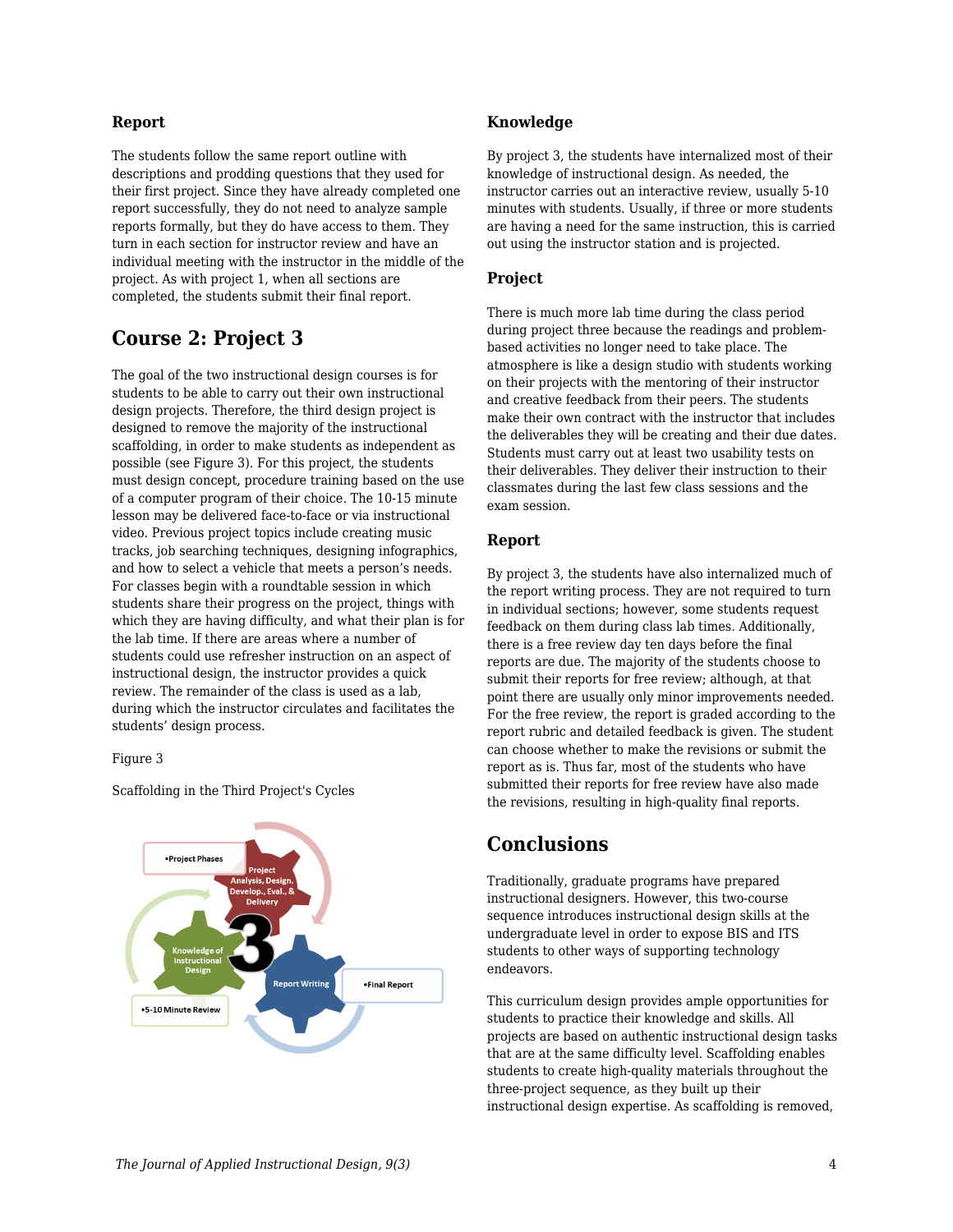### **Report**

The students follow the same report outline with descriptions and prodding questions that they used for their first project. Since they have already completed one report successfully, they do not need to analyze sample reports formally, but they do have access to them. They turn in each section for instructor review and have an individual meeting with the instructor in the middle of the project. As with project 1, when all sections are completed, the students submit their final report.

# **Course 2: Project 3**

The goal of the two instructional design courses is for students to be able to carry out their own instructional design projects. Therefore, the third design project is designed to remove the majority of the instructional scaffolding, in order to make students as independent as possible (see Figure 3). For this project, the students must design concept, procedure training based on the use of a computer program of their choice. The 10-15 minute lesson may be delivered face-to-face or via instructional video. Previous project topics include creating music tracks, job searching techniques, designing infographics, and how to select a vehicle that meets a person's needs. For classes begin with a roundtable session in which students share their progress on the project, things with which they are having difficulty, and what their plan is for the lab time. If there are areas where a number of students could use refresher instruction on an aspect of instructional design, the instructor provides a quick review. The remainder of the class is used as a lab, during which the instructor circulates and facilitates the students' design process.

#### Figure 3



Scaffolding in the Third Project's Cycles

### **Knowledge**

By project 3, the students have internalized most of their knowledge of instructional design. As needed, the instructor carries out an interactive review, usually 5-10 minutes with students. Usually, if three or more students are having a need for the same instruction, this is carried out using the instructor station and is projected.

### **Project**

There is much more lab time during the class period during project three because the readings and problembased activities no longer need to take place. The atmosphere is like a design studio with students working on their projects with the mentoring of their instructor and creative feedback from their peers. The students make their own contract with the instructor that includes the deliverables they will be creating and their due dates. Students must carry out at least two usability tests on their deliverables. They deliver their instruction to their classmates during the last few class sessions and the exam session.

### **Report**

By project 3, the students have also internalized much of the report writing process. They are not required to turn in individual sections; however, some students request feedback on them during class lab times. Additionally, there is a free review day ten days before the final reports are due. The majority of the students choose to submit their reports for free review; although, at that point there are usually only minor improvements needed. For the free review, the report is graded according to the report rubric and detailed feedback is given. The student can choose whether to make the revisions or submit the report as is. Thus far, most of the students who have submitted their reports for free review have also made the revisions, resulting in high-quality final reports.

## **Conclusions**

Traditionally, graduate programs have prepared instructional designers. However, this two-course sequence introduces instructional design skills at the undergraduate level in order to expose BIS and ITS students to other ways of supporting technology endeavors.

This curriculum design provides ample opportunities for students to practice their knowledge and skills. All projects are based on authentic instructional design tasks that are at the same difficulty level. Scaffolding enables students to create high-quality materials throughout the three-project sequence, as they built up their instructional design expertise. As scaffolding is removed,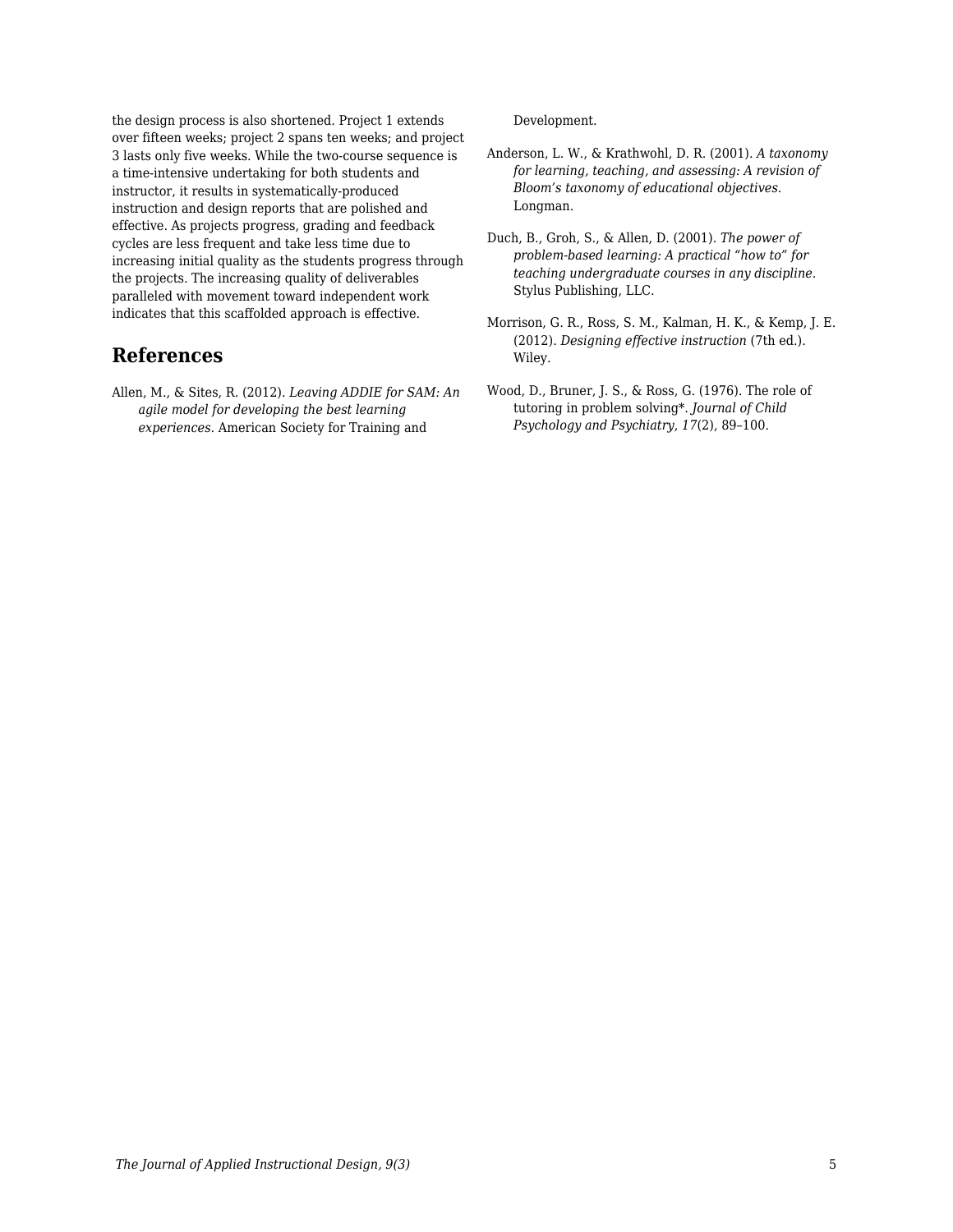the design process is also shortened. Project 1 extends over fifteen weeks; project 2 spans ten weeks; and project 3 lasts only five weeks. While the two-course sequence is a time-intensive undertaking for both students and instructor, it results in systematically-produced instruction and design reports that are polished and effective. As projects progress, grading and feedback cycles are less frequent and take less time due to increasing initial quality as the students progress through the projects. The increasing quality of deliverables paralleled with movement toward independent work indicates that this scaffolded approach is effective.

## **References**

Allen, M., & Sites, R. (2012). *Leaving ADDIE for SAM: An agile model for developing the best learning experiences*. American Society for Training and

Development.

- Anderson, L. W., & Krathwohl, D. R. (2001). *A taxonomy for learning, teaching, and assessing: A revision of Bloom's taxonomy of educational objectives.* Longman.
- Duch, B., Groh, S., & Allen, D. (2001). *The power of problem-based learning: A practical "how to" for teaching undergraduate courses in any discipline.* Stylus Publishing, LLC.
- Morrison, G. R., Ross, S. M., Kalman, H. K., & Kemp, J. E. (2012). *Designing effective instruction* (7th ed.). Wiley.
- Wood, D., Bruner, J. S., & Ross, G. (1976). The role of tutoring in problem solving\*. *Journal of Child Psychology and Psychiatry*, *17*(2), 89–100.